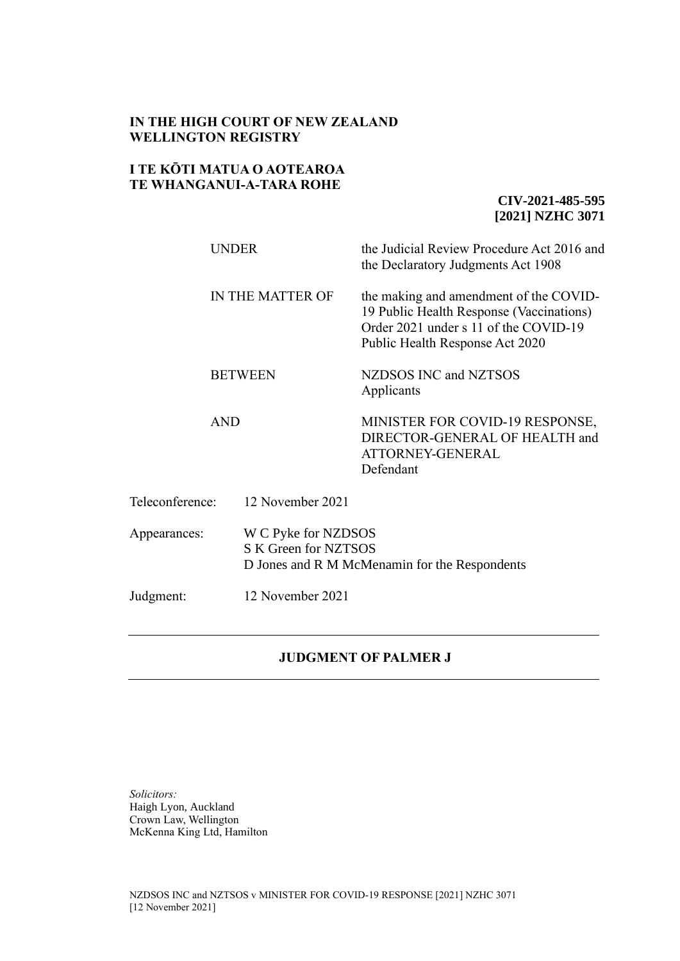## **IN THE HIGH COURT OF NEW ZEALAND WELLINGTON REGISTRY**

## **I TE KŌTI MATUA O AOTEAROA TE WHANGANUI-A-TARA ROHE**

**CIV-2021-485-595 [2021] NZHC 3071**

|                 | UNDER            | the Judicial Review Procedure Act 2016 and<br>the Declaratory Judgments Act 1908                                                                               |  |
|-----------------|------------------|----------------------------------------------------------------------------------------------------------------------------------------------------------------|--|
|                 | IN THE MATTER OF | the making and amendment of the COVID-<br>19 Public Health Response (Vaccinations)<br>Order 2021 under s 11 of the COVID-19<br>Public Health Response Act 2020 |  |
|                 | <b>BETWEEN</b>   | NZDSOS INC and NZTSOS<br>Applicants                                                                                                                            |  |
|                 | <b>AND</b>       | MINISTER FOR COVID-19 RESPONSE,<br>DIRECTOR-GENERAL OF HEALTH and<br>ATTORNEY-GENERAL<br>Defendant                                                             |  |
| Teleconference: | 12 November 2021 |                                                                                                                                                                |  |
| Appearances:    |                  | W C Pyke for NZDSOS<br>S K Green for NZTSOS<br>D Jones and R M McMenamin for the Respondents                                                                   |  |
| Judgment:       | 12 November 2021 |                                                                                                                                                                |  |

### **JUDGMENT OF PALMER J**

*Solicitors:* Haigh Lyon, Auckland Crown Law, Wellington McKenna King Ltd, Hamilton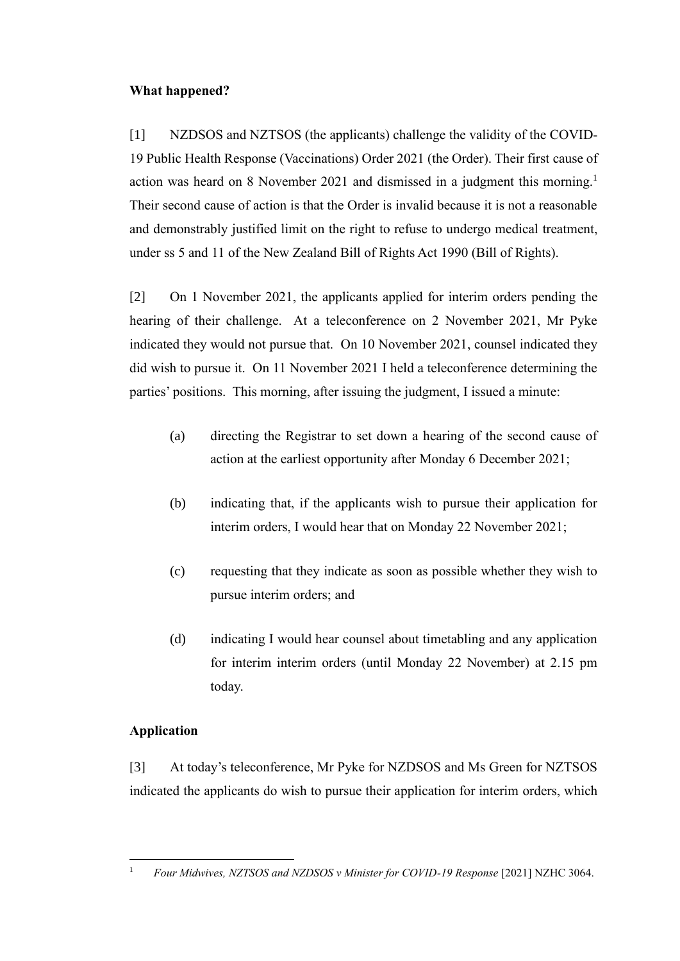## **What happened?**

<span id="page-1-0"></span>[1] NZDSOS and NZTSOS (the applicants) challenge the validity of the COVID-19 Public Health Response (Vaccinations) Order 2021 (the Order). Their first cause of action was heard on 8 November 2021 and dismissed in a judgment this morning.<sup>1</sup> Their second cause of action is that the Order is invalid because it is not a reasonable and demonstrably justified limit on the right to refuse to undergo medical treatment, under ss 5 and 11 of the New Zealand Bill of Rights Act 1990 (Bill of Rights).

[2] On 1 November 2021, the applicants applied for interim orders pending the hearing of their challenge. At a teleconference on 2 November 2021, Mr Pyke indicated they would not pursue that. On 10 November 2021, counsel indicated they did wish to pursue it. On 11 November 2021 I held a teleconference determining the parties' positions. This morning, after issuing the judgment, I issued a minute:

- (a) directing the Registrar to set down a hearing of the second cause of action at the earliest opportunity after Monday 6 December 2021;
- (b) indicating that, if the applicants wish to pursue their application for interim orders, I would hear that on Monday 22 November 2021;
- (c) requesting that they indicate as soon as possible whether they wish to pursue interim orders; and
- (d) indicating I would hear counsel about timetabling and any application for interim interim orders (until Monday 22 November) at 2.15 pm today.

# **Application**

[3] At today's teleconference, Mr Pyke for NZDSOS and Ms Green for NZTSOS indicated the applicants do wish to pursue their application for interim orders, which

<sup>&</sup>lt;sup>1</sup> *Four Midwives, NZTSOS and NZDSOS v Minister for COVID-19 Response* [2021] NZHC 3064.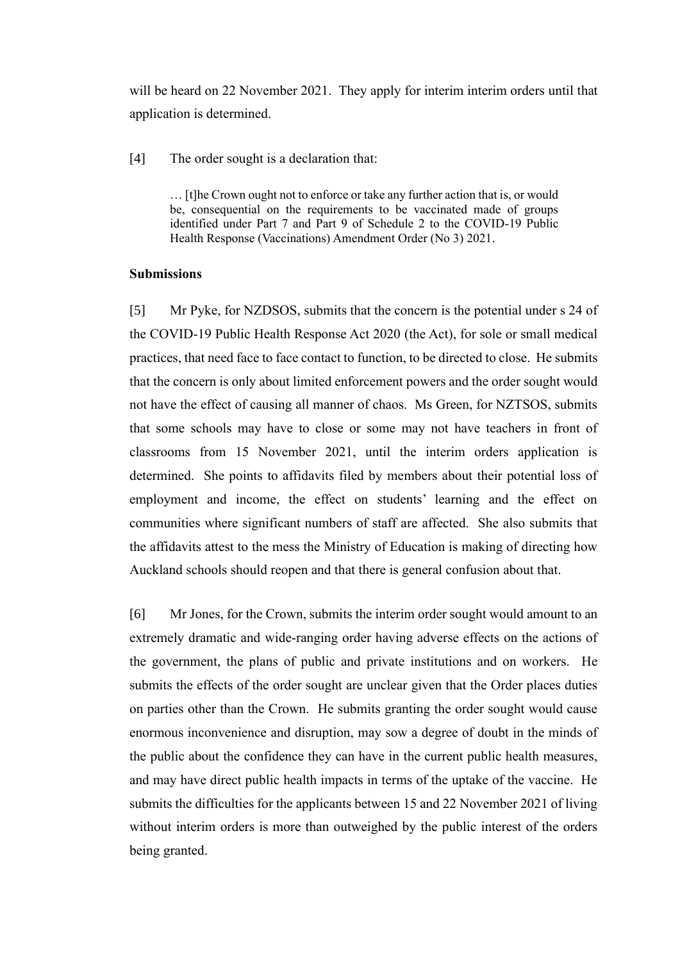will be heard on 22 November 2021. They apply for interim interim orders until that application is determined.

[4] The order sought is a declaration that:

... [t]he Crown ought not to enforce or take any further action that is, or would be, consequential on the requirements to be vaccinated made of groups identified under Part 7 and Part 9 of Schedule 2 to the COVID-19 Public Health Response (Vaccinations) Amendment Order (No 3) 2021.

#### **Submissions**

[5] Mr Pyke, for NZDSOS, submits that the concern is the potential under s 24 of the COVID-19 Public Health Response Act 2020 (the Act), for sole or small medical practices, that need face to face contact to function, to be directed to close. He submits that the concern is only about limited enforcement powers and the order sought would not have the effect of causing all manner of chaos. Ms Green, for NZTSOS, submits that some schools may have to close or some may not have teachers in front of classrooms from 15 November 2021, until the interim orders application is determined. She points to affidavits filed by members about their potential loss of employment and income, the effect on students' learning and the effect on communities where significant numbers of staff are affected. She also submits that the affidavits attest to the mess the Ministry of Education is making of directing how Auckland schools should reopen and that there is general confusion about that.

[6] Mr Jones, for the Crown, submits the interim order sought would amount to an extremely dramatic and wide-ranging order having adverse effects on the actions of the government, the plans of public and private institutions and on workers. He submits the effects of the order sought are unclear given that the Order places duties on parties other than the Crown. He submits granting the order sought would cause enormous inconvenience and disruption, may sow a degree of doubt in the minds of the public about the confidence they can have in the current public health measures, and may have direct public health impacts in terms of the uptake of the vaccine. He submits the difficulties for the applicants between 15 and 22 November 2021 of living without interim orders is more than outweighed by the public interest of the orders being granted.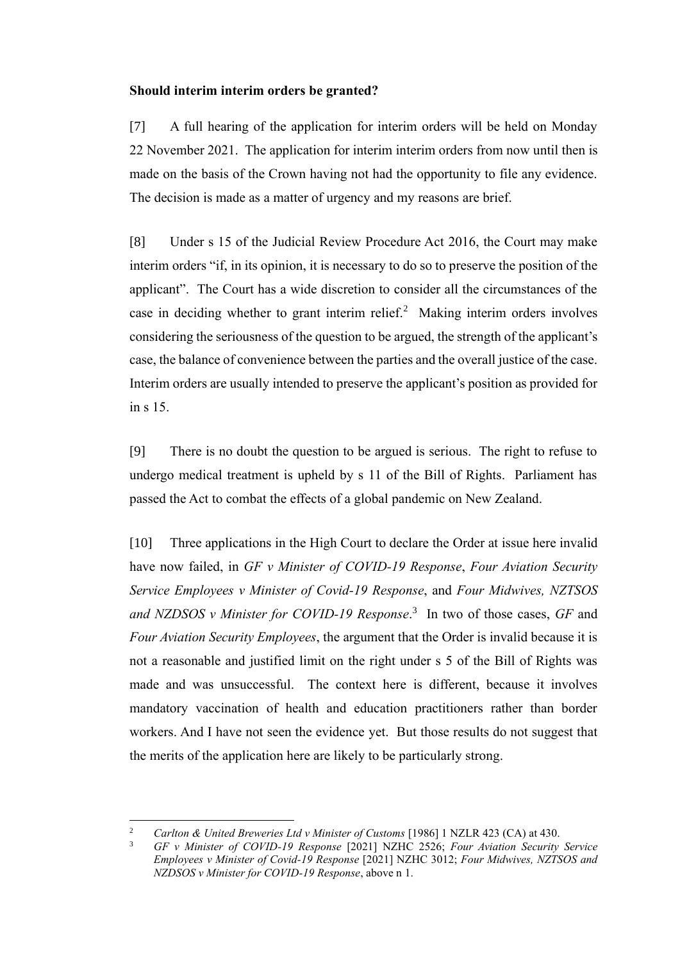### **Should interim interim orders be granted?**

[7] A full hearing of the application for interim orders will be held on Monday 22 November 2021. The application for interim interim orders from now until then is made on the basis of the Crown having not had the opportunity to file any evidence. The decision is made as a matter of urgency and my reasons are brief.

[8] Under s 15 of the Judicial Review Procedure Act 2016, the Court may make interim orders "if, in its opinion, it is necessary to do so to preserve the position of the applicant". The Court has a wide discretion to consider all the circumstances of the case in deciding whether to grant interim relief.<sup>2</sup> Making interim orders involves considering the seriousness of the question to be argued, the strength of the applicant's case, the balance of convenience between the parties and the overall justice of the case. Interim orders are usually intended to preserve the applicant's position as provided for in s 15.

[9] There is no doubt the question to be argued is serious. The right to refuse to undergo medical treatment is upheld by s 11 of the Bill of Rights. Parliament has passed the Act to combat the effects of a global pandemic on New Zealand.

[10] Three applications in the High Court to declare the Order at issue here invalid have now failed, in *GF v Minister of COVID-19 Response*, *Four Aviation Security Service Employees v Minister of Covid-19 Response*, and *Four Midwives, NZTSOS and NZDSOS v Minister for COVID-19 Response*. 3 In two of those cases, *GF* and *Four Aviation Security Employees*, the argument that the Order is invalid because it is not a reasonable and justified limit on the right under s 5 of the Bill of Rights was made and was unsuccessful. The context here is different, because it involves mandatory vaccination of health and education practitioners rather than border workers. And I have not seen the evidence yet. But those results do not suggest that the merits of the application here are likely to be particularly strong.

<sup>&</sup>lt;sup>2</sup> *Carlton & United Breweries Ltd v Minister of Customs* [1986] 1 NZLR 423 (CA) at 430.

<sup>3</sup> *GF v Minister of COVID-19 Response* [2021] NZHC 2526; *Four Aviation Security Service Employees v Minister of Covid-19 Response* [2021] NZHC 3012; *Four Midwives, NZTSOS and NZDSOS v Minister for COVID-19 Response*, above n [1.](#page-1-0)